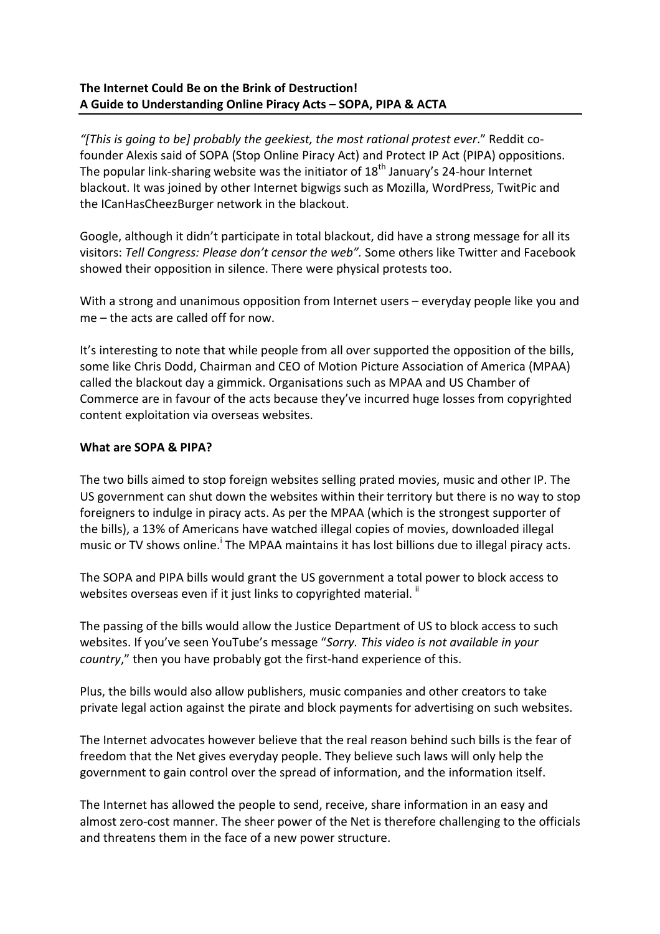# **The Internet Could Be on the Brink of Destruction! A Guide to Understanding Online Piracy Acts – SOPA, PIPA & ACTA**

*"[This is going to be] probably the geekiest, the most rational protest ever*." Reddit cofounder Alexis said of SOPA (Stop Online Piracy Act) and Protect IP Act (PIPA) oppositions. The popular link-sharing website was the initiator of  $18<sup>th</sup>$  January's 24-hour Internet blackout. It was joined by other Internet bigwigs such as Mozilla, WordPress, TwitPic and the ICanHasCheezBurger network in the blackout.

Google, although it didn't participate in total blackout, did have a strong message for all its visitors: *Tell Congress: Please don't censor the web".* Some others like Twitter and Facebook showed their opposition in silence. There were physical protests too.

With a strong and unanimous opposition from Internet users – everyday people like you and me – the acts are called off for now.

It's interesting to note that while people from all over supported the opposition of the bills, some like Chris Dodd, Chairman and CEO of Motion Picture Association of America (MPAA) called the blackout day a gimmick. Organisations such as MPAA and US Chamber of Commerce are in favour of the acts because they've incurred huge losses from copyrighted content exploitation via overseas websites.

## **What are SOPA & PIPA?**

The two bills aimed to stop foreign websites selling prated movies, music and other IP. The US government can shut down the websites within their territory but there is no way to stop foreigners to indulge in piracy acts. As per the MPAA (which is the strongest supporter of the bills), a 13% of Americans have watched illegal copies of movies, downloaded illegal music or TV shows online.<sup>i</sup> The MPAA maintains it has lost billions due to illegal piracy acts.

The SOPA and PIPA bills would grant the US government a total power to block access to websites overseas even if it just links to copyrighted material. "

The passing of the bills would allow the Justice Department of US to block access to such websites. If you've seen YouTube's message "*Sorry. This video is not available in your country*," then you have probably got the first-hand experience of this.

Plus, the bills would also allow publishers, music companies and other creators to take private legal action against the pirate and block payments for advertising on such websites.

The Internet advocates however believe that the real reason behind such bills is the fear of freedom that the Net gives everyday people. They believe such laws will only help the government to gain control over the spread of information, and the information itself.

The Internet has allowed the people to send, receive, share information in an easy and almost zero-cost manner. The sheer power of the Net is therefore challenging to the officials and threatens them in the face of a new power structure.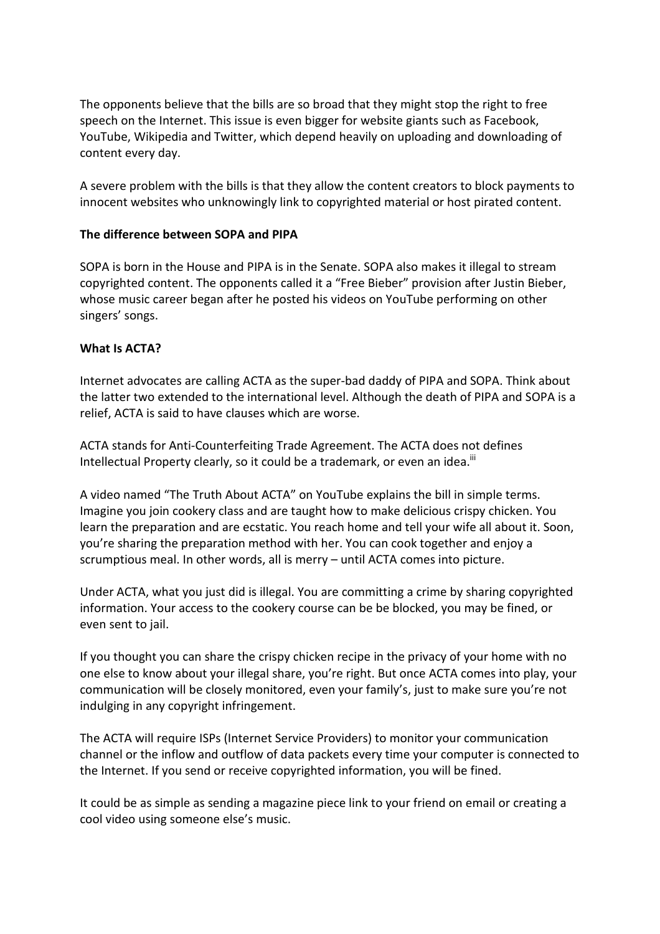The opponents believe that the bills are so broad that they might stop the right to free speech on the Internet. This issue is even bigger for website giants such as Facebook, YouTube, Wikipedia and Twitter, which depend heavily on uploading and downloading of content every day.

A severe problem with the bills is that they allow the content creators to block payments to innocent websites who unknowingly link to copyrighted material or host pirated content.

## **The difference between SOPA and PIPA**

SOPA is born in the House and PIPA is in the Senate. SOPA also makes it illegal to stream copyrighted content. The opponents called it a "Free Bieber" provision after Justin Bieber, whose music career began after he posted his videos on YouTube performing on other singers' songs.

## **What Is ACTA?**

Internet advocates are calling ACTA as the super-bad daddy of PIPA and SOPA. Think about the latter two extended to the international level. Although the death of PIPA and SOPA is a relief, ACTA is said to have clauses which are worse.

ACTA stands for Anti-Counterfeiting Trade Agreement. The ACTA does not defines Intellectual Property clearly, so it could be a trademark, or even an idea.<sup>iii</sup>

A video named "The Truth About ACTA" on YouTube explains the bill in simple terms. Imagine you join cookery class and are taught how to make delicious crispy chicken. You learn the preparation and are ecstatic. You reach home and tell your wife all about it. Soon, you're sharing the preparation method with her. You can cook together and enjoy a scrumptious meal. In other words, all is merry – until ACTA comes into picture.

Under ACTA, what you just did is illegal. You are committing a crime by sharing copyrighted information. Your access to the cookery course can be be blocked, you may be fined, or even sent to jail.

If you thought you can share the crispy chicken recipe in the privacy of your home with no one else to know about your illegal share, you're right. But once ACTA comes into play, your communication will be closely monitored, even your family's, just to make sure you're not indulging in any copyright infringement.

The ACTA will require ISPs (Internet Service Providers) to monitor your communication channel or the inflow and outflow of data packets every time your computer is connected to the Internet. If you send or receive copyrighted information, you will be fined.

It could be as simple as sending a magazine piece link to your friend on email or creating a cool video using someone else's music.